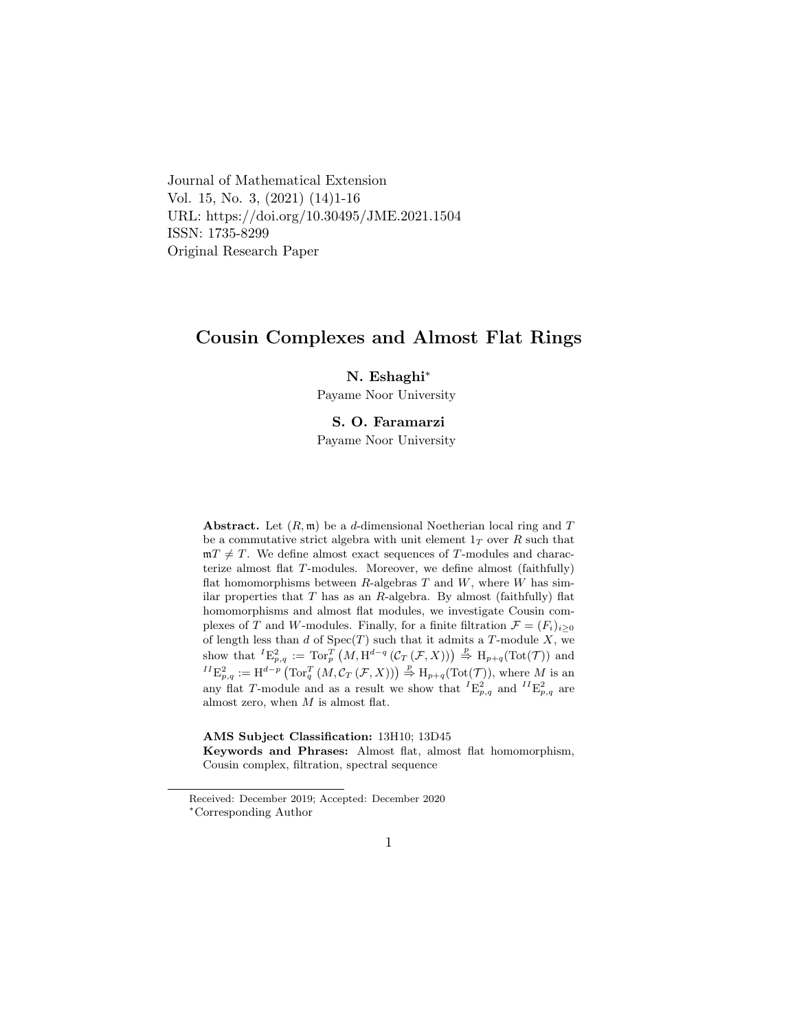Journal of Mathematical Extension Vol. 15, No. 3, (2021) (14)1-16 URL: https://doi.org/10.30495/JME.2021.1504 ISSN: 1735-8299 Original Research Paper

## Cousin Complexes and Almost Flat Rings

#### N. Eshaghi<sup>∗</sup>

Payame Noor University

### S. O. Faramarz[i](#page-0-0)

Payame Noor University

**Abstract.** Let  $(R, \mathfrak{m})$  be a d-dimensional Noetherian local ring and T be a commutative strict algebra with unit element  $1<sub>T</sub>$  over R such that  $mT \neq T$ . We define almost exact sequences of T-modules and characterize almost flat T-modules. Moreover, we define almost (faithfully) flat homomorphisms between  $R$ -algebras  $T$  and  $W$ , where  $W$  has similar properties that  $T$  has as an  $R$ -algebra. By almost (faithfully) flat homomorphisms and almost flat modules, we investigate Cousin complexes of T and W-modules. Finally, for a finite filtration  $\mathcal{F} = (F_i)_{i \geq 0}$ of length less than  $d$  of  $Spec(T)$  such that it admits a T-module X, we show that  ${}^{I}E^{2}_{p,q} := \text{Tor}_{p}^{T} (M, \text{H}^{d-q} (\mathcal{C}_{T} (\mathcal{F}, X))) \overset{p}{\Rightarrow} \text{H}_{p+q}(\text{Tot}(\mathcal{T}))$  and  ${}^{II}E^2_{p,q} := \text{H}^{d-p} \left( \text{Tor}_q^T \left( M, \mathcal{C}_T \left( \mathcal{F}, X \right) \right) \right) \overset{p}{\Rightarrow} \text{H}_{p+q}(\text{Tot}(\mathcal{T}))$ , where M is an any flat T-module and as a result we show that  ${}^{I}E^{2}_{p,q}$  and  ${}^{II}E^{2}_{p,q}$  are almost zero, when  $M$  is almost flat.

### AMS Subject Classification: 13H10; 13D45

Keywords and Phrases: Almost flat, almost flat homomorphism, Cousin complex, filtration, spectral sequence

<span id="page-0-0"></span>Received: December 2019; Accepted: December 2020 <sup>∗</sup>Corresponding Author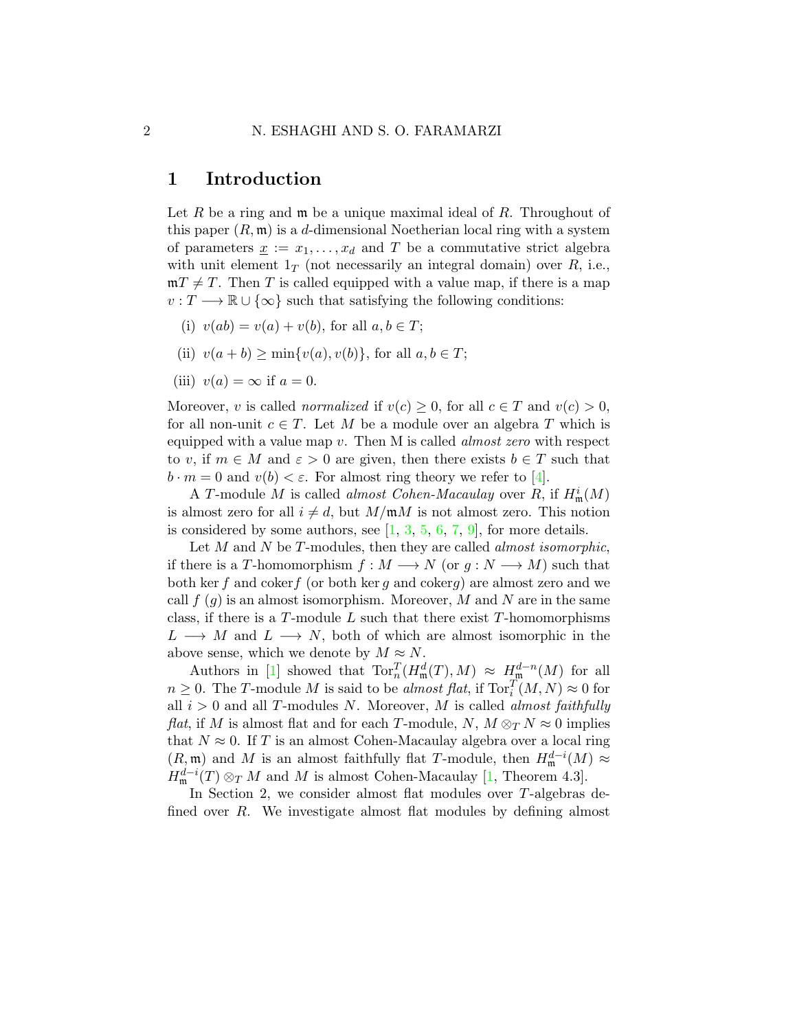### 1 Introduction

Let R be a ring and  $\mathfrak m$  be a unique maximal ideal of R. Throughout of this paper  $(R, \mathfrak{m})$  is a d-dimensional Noetherian local ring with a system of parameters  $\underline{x} := x_1, \ldots, x_d$  and T be a commutative strict algebra with unit element  $1_T$  (not necessarily an integral domain) over R, i.e.,  $mT \neq T$ . Then T is called equipped with a value map, if there is a map  $v: T \longrightarrow \mathbb{R} \cup {\infty}$  such that satisfying the following conditions:

- (i)  $v(ab) = v(a) + v(b)$ , for all  $a, b \in T$ ;
- (ii)  $v(a + b) > \min\{v(a), v(b)\}\text{, for all } a, b \in T$ ;
- (iii)  $v(a) = \infty$  if  $a = 0$ .

Moreover, v is called *normalized* if  $v(c) \geq 0$ , for all  $c \in T$  and  $v(c) > 0$ , for all non-unit  $c \in T$ . Let M be a module over an algebra T which is equipped with a value map  $v$ . Then M is called *almost zero* with respect to v, if  $m \in M$  and  $\varepsilon > 0$  are given, then there exists  $b \in T$  such that  $b \cdot m = 0$  and  $v(b) < \varepsilon$ . For almost ring theory we refer to [\[4\]](#page-15-0).

A T-module M is called *almost Cohen-Macaulay* over R, if  $H^i_{\mathfrak{m}}(M)$ is almost zero for all  $i \neq d$ , but  $M/\mathfrak{m}M$  is not almost zero. This notion is considered by some authors, see  $[1, 3, 5, 6, 7, 9]$  $[1, 3, 5, 6, 7, 9]$  $[1, 3, 5, 6, 7, 9]$  $[1, 3, 5, 6, 7, 9]$  $[1, 3, 5, 6, 7, 9]$  $[1, 3, 5, 6, 7, 9]$  $[1, 3, 5, 6, 7, 9]$  $[1, 3, 5, 6, 7, 9]$  $[1, 3, 5, 6, 7, 9]$  $[1, 3, 5, 6, 7, 9]$  $[1, 3, 5, 6, 7, 9]$ , for more details.

Let  $M$  and  $N$  be  $T$ -modules, then they are called *almost isomorphic*, if there is a T-homomorphism  $f : M \longrightarrow N$  (or  $g : N \longrightarrow M$ ) such that both ker f and cokerf (or both ker q and cokerq) are almost zero and we call  $f(g)$  is an almost isomorphism. Moreover, M and N are in the same class, if there is a  $T$ -module L such that there exist  $T$ -homomorphisms  $L \longrightarrow M$  and  $L \longrightarrow N$ , both of which are almost isomorphic in the above sense, which we denote by  $M \approx N$ .

Authors in [\[1\]](#page-14-0) showed that  $\text{Tor}_{n}^{T}(H_{\mathfrak{m}}^{d}(T),M) \approx H_{\mathfrak{m}}^{d-n}(M)$  for all  $n \geq 0$ . The T-module M is said to be *almost flat*, if  $\text{Tor}_{i}^{T}(M, N) \approx 0$  for all  $i > 0$  and all T-modules N. Moreover, M is called *almost faithfully flat*, if M is almost flat and for each T-module, N,  $M \otimes_T N \approx 0$  implies that  $N \approx 0$ . If T is an almost Cohen-Macaulay algebra over a local ring  $(R, \mathfrak{m})$  and M is an almost faithfully flat T-module, then  $H^{d-i}_{\mathfrak{m}}(M) \approx$  $H^{d-i}_{\mathfrak{m}}(T) \otimes_T M$  and M is almost Cohen-Macaulay [\[1,](#page-14-0) Theorem 4.3].

In Section 2, we consider almost flat modules over T-algebras defined over R. We investigate almost flat modules by defining almost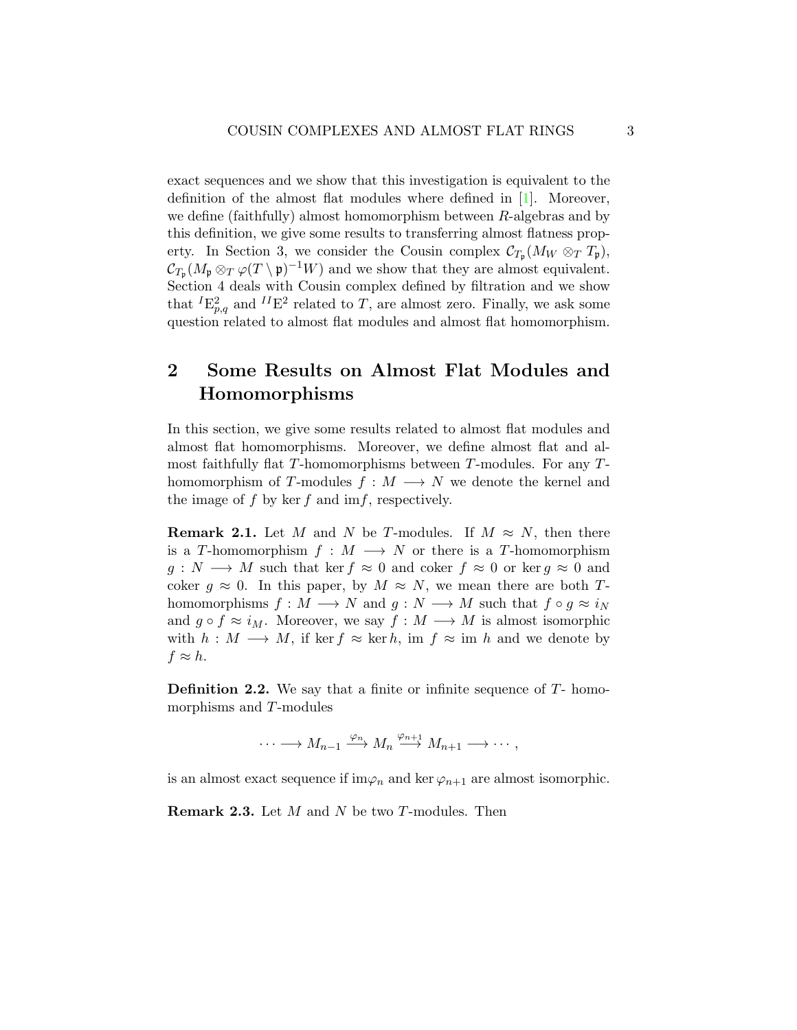exact sequences and we show that this investigation is equivalent to the definition of the almost flat modules where defined in [\[1\]](#page-14-0). Moreover, we define (faithfully) almost homomorphism between R-algebras and by this definition, we give some results to transferring almost flatness property. In Section 3, we consider the Cousin complex  $\mathcal{C}_{T_{\mathfrak{p}}}(M_W \otimes_T T_{\mathfrak{p}})$ ,  $\mathcal{C}_{T_{\mathfrak{p}}}(M_{\mathfrak{p}} \otimes_T \varphi(T \setminus \mathfrak{p})^{-1}W)$  and we show that they are almost equivalent. Section 4 deals with Cousin complex defined by filtration and we show that  ${}^{I}E^{2}_{p,q}$  and  ${}^{II}E^{2}$  related to T, are almost zero. Finally, we ask some question related to almost flat modules and almost flat homomorphism.

# 2 Some Results on Almost Flat Modules and Homomorphisms

In this section, we give some results related to almost flat modules and almost flat homomorphisms. Moreover, we define almost flat and almost faithfully flat T-homomorphisms between T-modules. For any Thomomorphism of T-modules  $f : M \longrightarrow N$  we denote the kernel and the image of  $f$  by ker  $f$  and im $f$ , respectively.

<span id="page-2-1"></span>**Remark 2.1.** Let M and N be T-modules. If  $M \approx N$ , then there is a T-homomorphism  $f : M \longrightarrow N$  or there is a T-homomorphism  $g: N \longrightarrow M$  such that ker  $f \approx 0$  and coker  $f \approx 0$  or ker  $g \approx 0$  and coker  $g \approx 0$ . In this paper, by  $M \approx N$ , we mean there are both Thomomorphisms  $f : M \longrightarrow N$  and  $g : N \longrightarrow M$  such that  $f \circ g \approx i_N$ and  $g \circ f \approx i_M$ . Moreover, we say  $f : M \longrightarrow M$  is almost isomorphic with  $h : M \longrightarrow M$ , if ker  $f \approx \text{ker } h$ , im  $f \approx \text{im } h$  and we denote by  $f \approx h$ .

**Definition 2.2.** We say that a finite or infinite sequence of  $T$ - homomorphisms and T-modules

 $\cdots \longrightarrow M_{n-1} \xrightarrow{\varphi_n} M_n \xrightarrow{\varphi_{n+1}} M_{n+1} \longrightarrow \cdots,$ 

is an almost exact sequence if  $\lim \varphi_n$  and ker  $\varphi_{n+1}$  are almost isomorphic.

<span id="page-2-0"></span>**Remark 2.3.** Let  $M$  and  $N$  be two  $T$ -modules. Then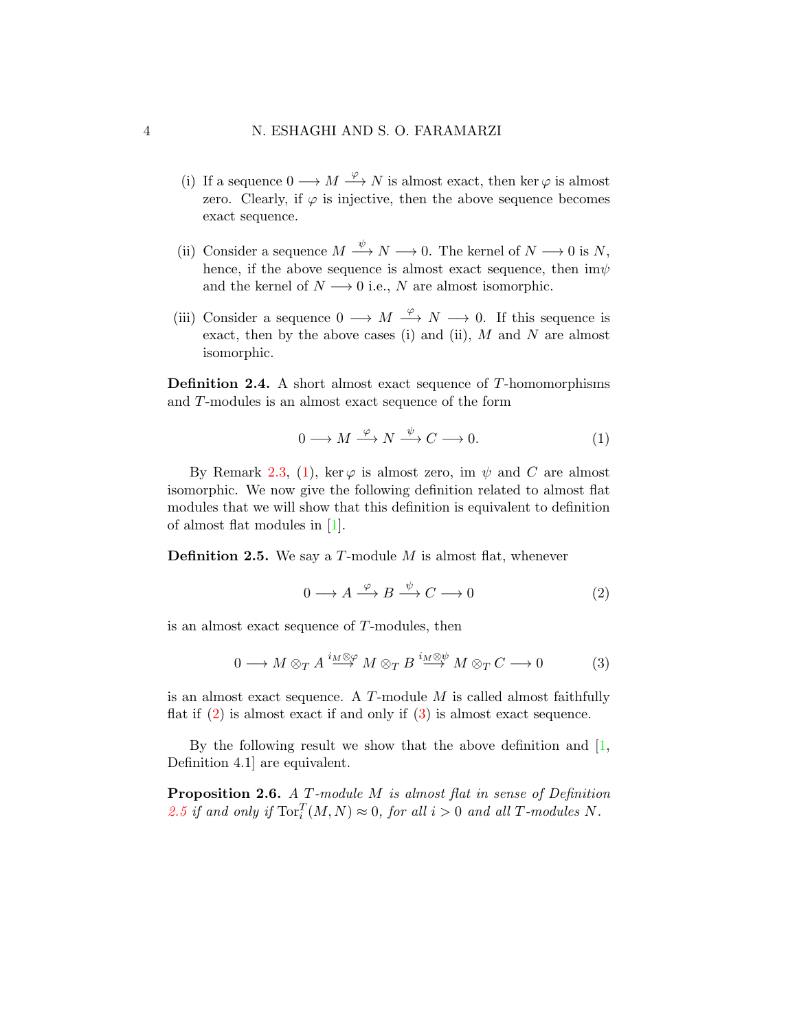- (i) If a sequence  $0 \longrightarrow M \stackrel{\varphi}{\longrightarrow} N$  is almost exact, then ker  $\varphi$  is almost zero. Clearly, if  $\varphi$  is injective, then the above sequence becomes exact sequence.
- (ii) Consider a sequence  $M \xrightarrow{\psi} N \longrightarrow 0$ . The kernel of  $N \longrightarrow 0$  is N, hence, if the above sequence is almost exact sequence, then  $\mathrm{im}\psi$ and the kernel of  $N \longrightarrow 0$  i.e., N are almost isomorphic.
- (iii) Consider a sequence  $0 \longrightarrow M \stackrel{\varphi}{\longrightarrow} N \longrightarrow 0$ . If this sequence is exact, then by the above cases (i) and (ii),  $M$  and  $N$  are almost isomorphic.

Definition 2.4. A short almost exact sequence of T-homomorphisms and T-modules is an almost exact sequence of the form

<span id="page-3-0"></span>
$$
0 \longrightarrow M \xrightarrow{\varphi} N \xrightarrow{\psi} C \longrightarrow 0. \tag{1}
$$

By Remark [2.3,](#page-2-0) [\(1\)](#page-3-0), ker  $\varphi$  is almost zero, im  $\psi$  and C are almost isomorphic. We now give the following definition related to almost flat modules that we will show that this definition is equivalent to definition of almost flat modules in [\[1\]](#page-14-0).

<span id="page-3-3"></span>**Definition 2.5.** We say a  $T$ -module  $M$  is almost flat, whenever

<span id="page-3-1"></span>
$$
0 \longrightarrow A \xrightarrow{\varphi} B \xrightarrow{\psi} C \longrightarrow 0 \tag{2}
$$

is an almost exact sequence of T-modules, then

<span id="page-3-2"></span>
$$
0 \longrightarrow M \otimes_{T} A \stackrel{i_{M} \otimes \varphi}{\longrightarrow} M \otimes_{T} B \stackrel{i_{M} \otimes \psi}{\longrightarrow} M \otimes_{T} C \longrightarrow 0
$$
 (3)

is an almost exact sequence. A  $T$ -module  $M$  is called almost faithfully flat if  $(2)$  is almost exact if and only if  $(3)$  is almost exact sequence.

By the following result we show that the above definition and  $[1, 1]$  $[1, 1]$ Definition 4.1] are equivalent.

Proposition 2.6. A T-module M is almost flat in sense of Definition [2.5](#page-3-3) if and only if  $\operatorname{Tor}^T_i(M,N) \approx 0$ , for all  $i > 0$  and all T-modules N.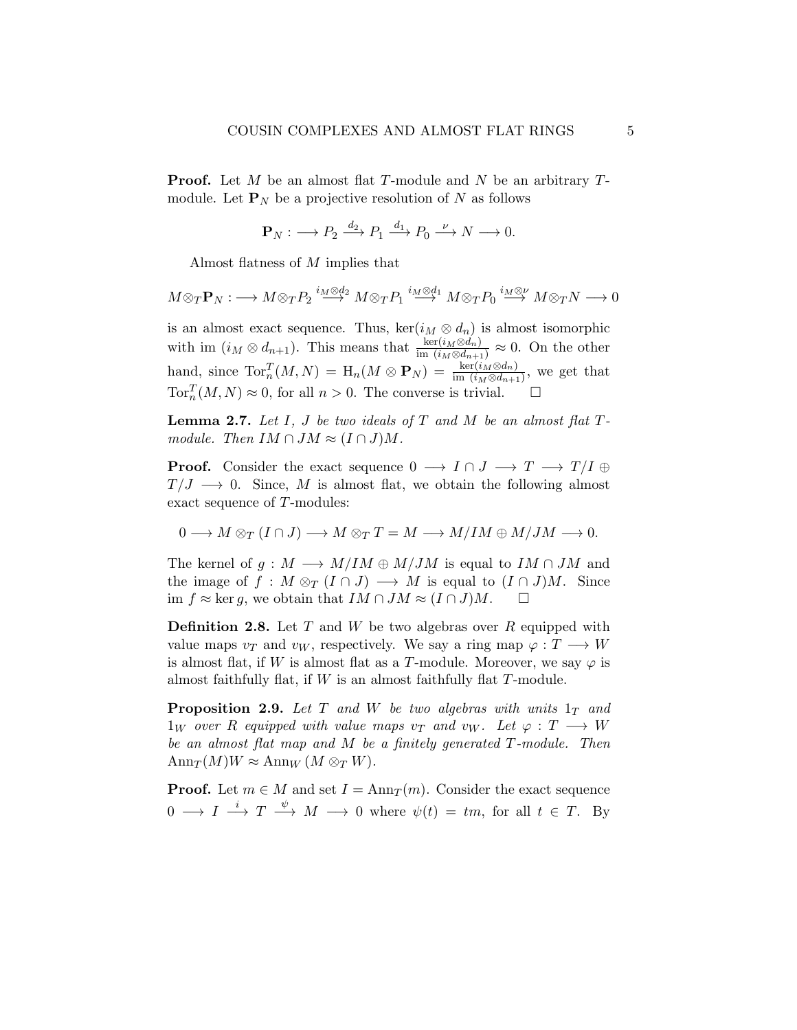**Proof.** Let M be an almost flat T-module and N be an arbitrary  $T$ module. Let  $P_N$  be a projective resolution of N as follows

$$
\mathbf{P}_N : \longrightarrow P_2 \xrightarrow{d_2} P_1 \xrightarrow{d_1} P_0 \xrightarrow{\nu} N \longrightarrow 0.
$$

Almost flatness of M implies that

$$
M \otimes_T \mathbf{P}_N : \longrightarrow M \otimes_T P_2 \stackrel{i_M \otimes d_2}{\longrightarrow} M \otimes_T P_1 \stackrel{i_M \otimes d_1}{\longrightarrow} M \otimes_T P_0 \stackrel{i_M \otimes \nu}{\longrightarrow} M \otimes_T N \longrightarrow 0
$$

is an almost exact sequence. Thus, ker( $i_M \otimes d_n$ ) is almost isomorphic with im  $(i_M \otimes d_{n+1})$ . This means that  $\frac{\ker(i_M \otimes d_n)}{\text{im } (i_M \otimes d_{n+1})} \approx 0$ . On the other hand, since  $\text{Tor}_n^T(M, N) = H_n(M \otimes \mathbf{P}_N) = \frac{\ker(i_M \otimes d_n)}{\text{im } (i_M \otimes d_{n+1})}$ , we get that  $\operatorname{Tor}^T_n(M,N) \approx 0$ , for all  $n > 0$ . The converse is trivial.  $\square$ 

<span id="page-4-0"></span>**Lemma 2.7.** Let I, J be two ideals of T and M be an almost flat  $T$ module. Then  $IM \cap JM \approx (I \cap J)M$ .

**Proof.** Consider the exact sequence  $0 \to I \cap J \to T \to T/I \oplus$  $T/J \longrightarrow 0$ . Since, M is almost flat, we obtain the following almost exact sequence of T-modules:

$$
0 \longrightarrow M \otimes_T (I \cap J) \longrightarrow M \otimes_T T = M \longrightarrow M/IM \oplus M/JM \longrightarrow 0.
$$

The kernel of  $g : M \longrightarrow M/IM \oplus M/JM$  is equal to  $IM \cap JM$  and the image of  $f : M \otimes_T (I \cap J) \longrightarrow M$  is equal to  $(I \cap J)M$ . Since im  $f \approx \ker g$ , we obtain that  $IM \cap JM \approx (I \cap J)M$ . □

**Definition 2.8.** Let T and W be two algebras over R equipped with value maps  $v_T$  and  $v_W$ , respectively. We say a ring map  $\varphi: T \longrightarrow W$ is almost flat, if W is almost flat as a T-module. Moreover, we say  $\varphi$  is almost faithfully flat, if  $W$  is an almost faithfully flat  $T$ -module.

**Proposition 2.9.** Let T and W be two algebras with units  $1_T$  and  $1_W$  over R equipped with value maps  $v_T$  and  $v_W$ . Let  $\varphi : T \longrightarrow W$ be an almost flat map and M be a finitely generated T-module. Then  $\text{Ann}_T(M)W \approx \text{Ann}_W(M \otimes_T W).$ 

**Proof.** Let  $m \in M$  and set  $I = \text{Ann}_T(m)$ . Consider the exact sequence  $0 \longrightarrow I \stackrel{i}{\longrightarrow} T \stackrel{\psi}{\longrightarrow} M \longrightarrow 0$  where  $\psi(t) = tm$ , for all  $t \in T$ . By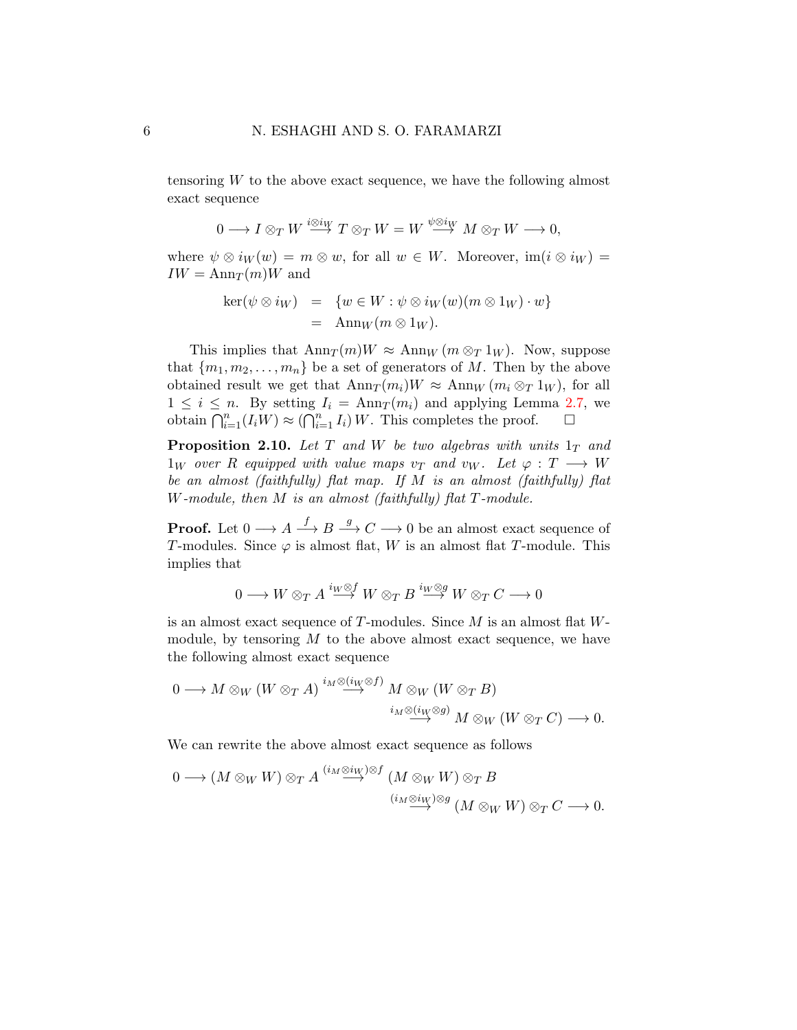tensoring W to the above exact sequence, we have the following almost exact sequence

$$
0\longrightarrow I\otimes_T W\stackrel{i\otimes i_W}{\longrightarrow} T\otimes_T W=W\stackrel{\psi\otimes i_W}{\longrightarrow} M\otimes_T W\longrightarrow 0,
$$

where  $\psi \otimes i_W(w) = m \otimes w$ , for all  $w \in W$ . Moreover,  $im(i \otimes i_W) =$  $IW = \text{Ann}_{T}(m)W$  and

$$
\ker(\psi \otimes i_W) = \{ w \in W : \psi \otimes i_W(w)(m \otimes 1_W) \cdot w \}
$$
  
=  $\operatorname{Ann}_W(m \otimes 1_W).$ 

This implies that  $\text{Ann}_T(m)W \approx \text{Ann}_W (m \otimes_T 1_W)$ . Now, suppose that  $\{m_1, m_2, \ldots, m_n\}$  be a set of generators of M. Then by the above obtained result we get that  $\text{Ann}_T(m_i)W \approx \text{Ann}_W (m_i \otimes_T 1_W)$ , for all  $1 \leq i \leq n$ . By setting  $I_i = \text{Ann}_T(m_i)$  and applying Lemma [2.7,](#page-4-0) we obtain  $\bigcap_{i=1}^n (I_i W) \approx \left(\bigcap_{i=1}^n I_i\right) W$ . This completes the proof.  $\Box$ 

**Proposition 2.10.** Let T and W be two algebras with units  $1_T$  and  $1_W$  over R equipped with value maps  $v_T$  and  $v_W$ . Let  $\varphi : T \longrightarrow W$ be an almost (faithfully) flat map. If M is an almost (faithfully) flat W-module, then M is an almost (faithfully) flat T-module.

**Proof.** Let  $0 \longrightarrow A \stackrel{f}{\longrightarrow} B \stackrel{g}{\longrightarrow} C \longrightarrow 0$  be an almost exact sequence of T-modules. Since  $\varphi$  is almost flat, W is an almost flat T-module. This implies that

$$
0\longrightarrow W\otimes_{T} A\overset{i_{W}\otimes f}{\longrightarrow} W\otimes_{T} B\overset{i_{W}\otimes g}{\longrightarrow} W\otimes_{T} C\longrightarrow 0
$$

is an almost exact sequence of  $T$ -modules. Since  $M$  is an almost flat  $W$ module, by tensoring  $M$  to the above almost exact sequence, we have the following almost exact sequence

$$
0 \longrightarrow M \otimes_{W} (W \otimes_{T} A) \stackrel{i_{M} \otimes (i_{W} \otimes f)}{\longrightarrow} M \otimes_{W} (W \otimes_{T} B) \longrightarrow_{i_{M} \otimes (i_{W} \otimes g)} M \otimes_{W} (W \otimes_{T} C) \longrightarrow 0.
$$

We can rewrite the above almost exact sequence as follows

$$
0 \longrightarrow (M \otimes_W W) \otimes_T A \xrightarrow{(i_M \otimes i_W) \otimes f} (M \otimes_W W) \otimes_T B
$$
  
\n
$$
\xrightarrow{(i_M \otimes i_W) \otimes g} (M \otimes_W W) \otimes_T C \longrightarrow 0.
$$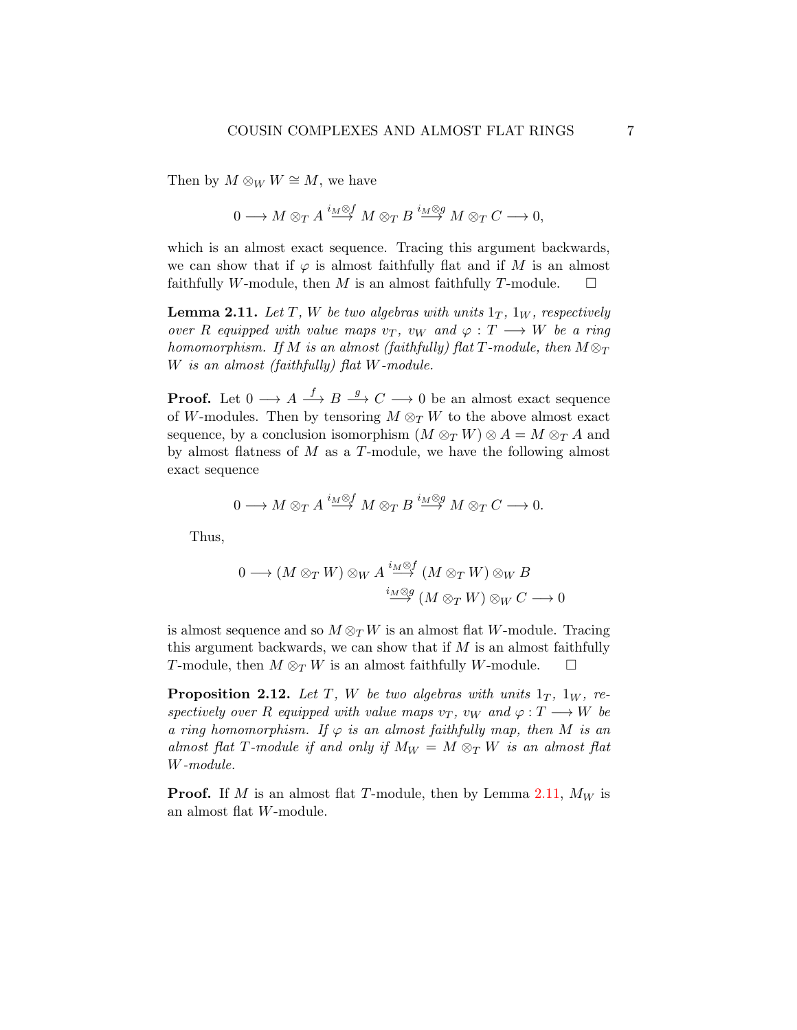Then by  $M \otimes_W W \cong M$ , we have

$$
0\longrightarrow M\otimes_{T}A\stackrel{i_{M}\otimes f}{\longrightarrow}M\otimes_{T}B\stackrel{i_{M}\otimes g}{\longrightarrow}M\otimes_{T}C\longrightarrow 0,
$$

which is an almost exact sequence. Tracing this argument backwards, we can show that if  $\varphi$  is almost faithfully flat and if M is an almost faithfully W-module, then M is an almost faithfully T-module.  $\square$ 

<span id="page-6-0"></span>**Lemma 2.11.** Let T, W be two algebras with units  $1_T$ ,  $1_W$ , respectively over R equipped with value maps  $v_T$ ,  $v_W$  and  $\varphi : T \longrightarrow W$  be a ring homomorphism. If M is an almost (faithfully) flat T-module, then  $M \otimes_T$ W is an almost (faithfully) flat W-module.

**Proof.** Let  $0 \longrightarrow A \stackrel{f}{\longrightarrow} B \stackrel{g}{\longrightarrow} C \longrightarrow 0$  be an almost exact sequence of W-modules. Then by tensoring  $M \otimes_T W$  to the above almost exact sequence, by a conclusion isomorphism  $(M \otimes_T W) \otimes A = M \otimes_T A$  and by almost flatness of  $M$  as a  $T$ -module, we have the following almost exact sequence

$$
0\longrightarrow M\otimes_{T} A\overset{i_{M}\otimes f}{\longrightarrow} M\otimes_{T} B\overset{i_{M}\otimes g}{\longrightarrow} M\otimes_{T} C\longrightarrow 0.
$$

Thus,

$$
0 \longrightarrow (M \otimes_T W) \otimes_W A \stackrel{i_M \otimes f}{\longrightarrow} (M \otimes_T W) \otimes_W B
$$
  

$$
\stackrel{i_M \otimes g}{\longrightarrow} (M \otimes_T W) \otimes_W C \longrightarrow 0
$$

is almost sequence and so  $M \otimes_T W$  is an almost flat W-module. Tracing this argument backwards, we can show that if  $M$  is an almost faithfully T-module, then  $M \otimes_T W$  is an almost faithfully W-module.  $\square$ 

**Proposition 2.12.** Let T, W be two algebras with units  $1_T$ ,  $1_W$ , respectively over R equipped with value maps  $v_T$ ,  $v_W$  and  $\varphi: T \longrightarrow W$  be a ring homomorphism. If  $\varphi$  is an almost faithfully map, then M is an almost flat T-module if and only if  $M_W = M \otimes_T W$  is an almost flat W-module.

**Proof.** If M is an almost flat T-module, then by Lemma [2.11,](#page-6-0)  $M_W$  is an almost flat W-module.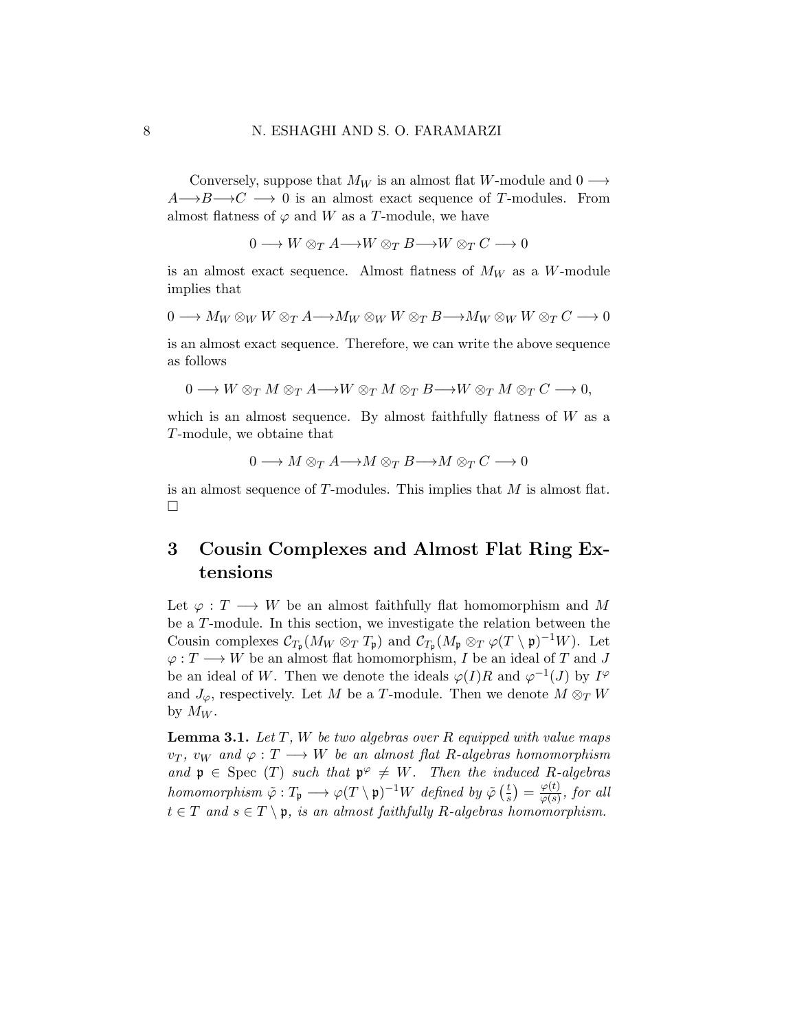Conversely, suppose that  $M_W$  is an almost flat W-module and 0  $\longrightarrow$  $A \rightarrow B \rightarrow C \rightarrow 0$  is an almost exact sequence of T-modules. From almost flatness of  $\varphi$  and W as a T-module, we have

 $0 \longrightarrow W \otimes_T A \longrightarrow W \otimes_T B \longrightarrow W \otimes_T C \longrightarrow 0$ 

is an almost exact sequence. Almost flatness of  $M_W$  as a W-module implies that

$$
0 \longrightarrow M_W \otimes_W W \otimes_T A {\longrightarrow} M_W \otimes_W W \otimes_T B {\longrightarrow} M_W \otimes_W W \otimes_T C \longrightarrow 0
$$

is an almost exact sequence. Therefore, we can write the above sequence as follows

 $0 \longrightarrow W \otimes_T M \otimes_T A \longrightarrow W \otimes_T M \otimes_T B \longrightarrow W \otimes_T M \otimes_T C \longrightarrow 0$ 

which is an almost sequence. By almost faithfully flatness of  $W$  as a T-module, we obtaine that

$$
0\longrightarrow M\otimes_{T}A{\longrightarrow} M\otimes_{T}B{\longrightarrow} M\otimes_{T}C\longrightarrow 0
$$

is an almost sequence of T-modules. This implies that M is almost flat.  $\Box$ 

## 3 Cousin Complexes and Almost Flat Ring Extensions

Let  $\varphi: T \longrightarrow W$  be an almost faithfully flat homomorphism and M be a T-module. In this section, we investigate the relation between the Cousin complexes  $\mathcal{C}_{T_{\mathfrak{p}}}(M_W \otimes_T T_{\mathfrak{p}})$  and  $\mathcal{C}_{T_{\mathfrak{p}}}(M_{\mathfrak{p}} \otimes_T \varphi(T \setminus \mathfrak{p})^{-1}W)$ . Let  $\varphi:T\longrightarrow W$  be an almost flat homomorphism,  $I$  be an ideal of  $T$  and  $J$ be an ideal of W. Then we denote the ideals  $\varphi(I)R$  and  $\varphi^{-1}(J)$  by  $I^{\varphi}$ and  $J_{\varphi}$ , respectively. Let M be a T-module. Then we denote  $M \otimes_T W$ by  $M_W$ .

<span id="page-7-0"></span>**Lemma 3.1.** Let  $T$ ,  $W$  be two algebras over  $R$  equipped with value maps  $v_T$ ,  $v_W$  and  $\varphi: T \longrightarrow W$  be an almost flat R-algebras homomorphism and  $\mathfrak{p} \in \text{Spec}(T)$  such that  $\mathfrak{p}^{\varphi} \neq W$ . Then the induced R-algebras homomorphism  $\tilde{\varphi}: T_{\mathfrak{p}} \longrightarrow \varphi(T \setminus \mathfrak{p})^{-1}W$  defined by  $\tilde{\varphi}$  ( $\frac{t}{s}$ )  $(\frac{t}{s}) = \frac{\varphi(t)}{\varphi(s)}$  $\frac{\varphi(t)}{\varphi(s)}$ , for all  $t \in T$  and  $s \in T \setminus \mathfrak{p}$ , is an almost faithfully R-algebras homomorphism.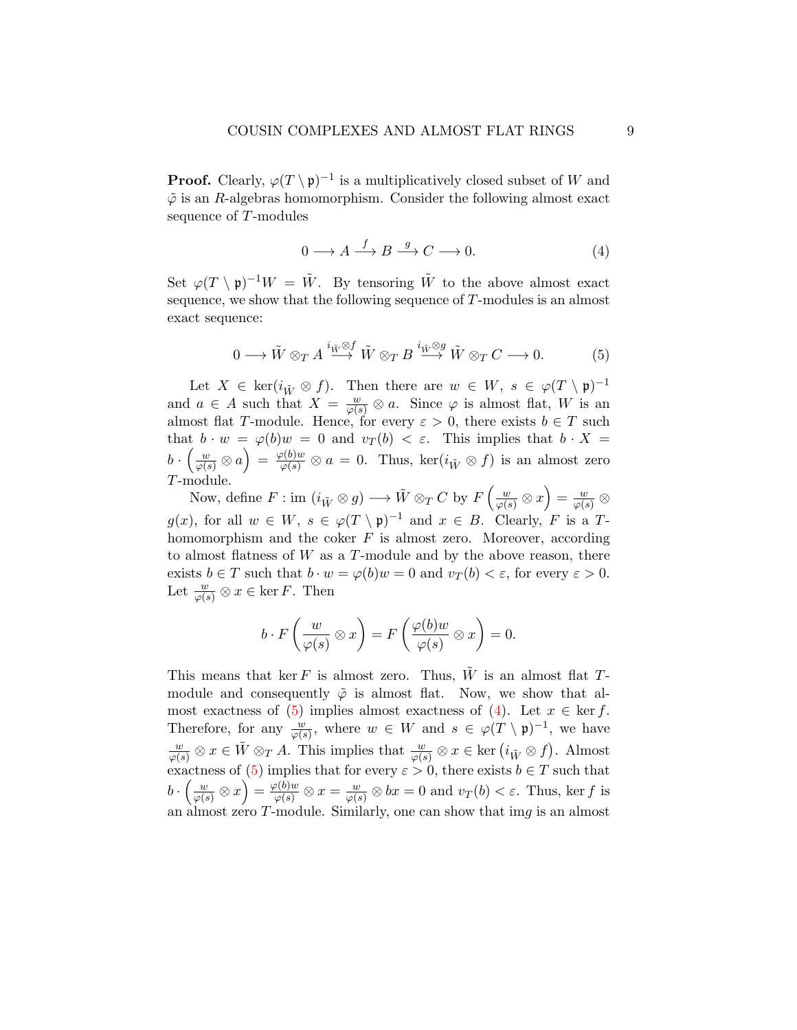**Proof.** Clearly,  $\varphi(T \setminus \mathfrak{p})^{-1}$  is a multiplicatively closed subset of W and  $\tilde{\varphi}$  is an R-algebras homomorphism. Consider the following almost exact sequence of T-modules

<span id="page-8-1"></span>
$$
0 \longrightarrow A \xrightarrow{f} B \xrightarrow{g} C \longrightarrow 0. \tag{4}
$$

Set  $\varphi(T \setminus \mathfrak{p})^{-1}W = \tilde{W}$ . By tensoring  $\tilde{W}$  to the above almost exact sequence, we show that the following sequence of T-modules is an almost exact sequence:

<span id="page-8-0"></span>
$$
0 \longrightarrow \tilde{W} \otimes_{T} A \stackrel{i_{\tilde{W}} \otimes f}{\longrightarrow} \tilde{W} \otimes_{T} B \stackrel{i_{\tilde{W}} \otimes g}{\longrightarrow} \tilde{W} \otimes_{T} C \longrightarrow 0. \tag{5}
$$

Let  $X \in \text{ker}(i_{\tilde{W}} \otimes f)$ . Then there are  $w \in W$ ,  $s \in \varphi(T \setminus \mathfrak{p})^{-1}$ and  $a \in A$  such that  $X = \frac{w}{\varphi(s)} \otimes a$ . Since  $\varphi$  is almost flat, W is an almost flat T-module. Hence, for every  $\varepsilon > 0$ , there exists  $b \in T$  such that  $b \cdot w = \varphi(b)w = 0$  and  $v_T(b) < \varepsilon$ . This implies that  $b \cdot X =$  $b \cdot \left(\frac{w}{\varphi(s)} \otimes a\right) = \frac{\varphi(b)w}{\varphi(s)} \otimes a = 0$ . Thus,  $\ker(i_{\tilde{W}} \otimes f)$  is an almost zero T-module.

Now, define  $F: \text{im } (i_{\tilde{W}} \otimes g) \longrightarrow \tilde{W} \otimes_T C$  by  $F\left(\frac{w}{\varphi(s)} \otimes x\right) = \frac{w}{\varphi(s)} \otimes$  $g(x)$ , for all  $w \in W$ ,  $s \in \varphi(T \setminus \mathfrak{p})^{-1}$  and  $x \in B$ . Clearly, F is a Thomomorphism and the coker  $F$  is almost zero. Moreover, according to almost flatness of  $W$  as a  $T$ -module and by the above reason, there exists  $b \in T$  such that  $b \cdot w = \varphi(b)w = 0$  and  $v_T(b) < \varepsilon$ , for every  $\varepsilon > 0$ . Let  $\frac{w}{\varphi(s)} \otimes x \in \ker F$ . Then

$$
b \cdot F\left(\frac{w}{\varphi(s)} \otimes x\right) = F\left(\frac{\varphi(b)w}{\varphi(s)} \otimes x\right) = 0.
$$

This means that ker F is almost zero. Thus,  $\tilde{W}$  is an almost flat Tmodule and consequently  $\tilde{\varphi}$  is almost flat. Now, we show that al-most exactness of [\(5\)](#page-8-0) implies almost exactness of [\(4\)](#page-8-1). Let  $x \in \text{ker } f$ . Therefore, for any  $\frac{w}{\varphi(s)}$ , where  $w \in W$  and  $s \in \varphi(T \setminus \mathfrak{p})^{-1}$ , we have  $\frac{w}{\varphi(s)} \otimes x \in \tilde{W} \otimes_T A$ . This implies that  $\frac{w}{\varphi(s)} \otimes x \in \text{ker} (i_{\tilde{W}} \otimes f)$ . Almost exactness of [\(5\)](#page-8-0) implies that for every  $\varepsilon > 0$ , there exists  $b \in T$  such that  $b \cdot \left(\frac{w}{\varphi(s)} \otimes x\right) = \frac{\varphi(b)w}{\varphi(s)} \otimes x = \frac{w}{\varphi(s)} \otimes bx = 0$  and  $v_T(b) < \varepsilon$ . Thus, ker f is an almost zero  $T$ -module. Similarly, one can show that im $q$  is an almost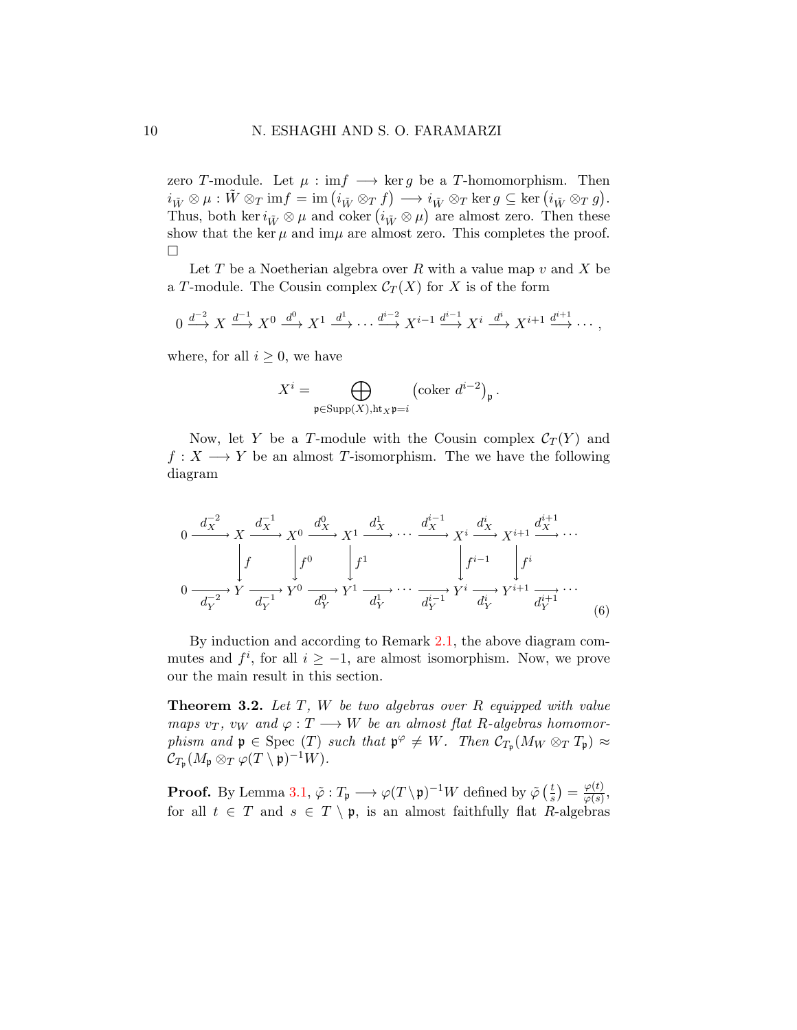zero T-module. Let  $\mu : \inf \longrightarrow \ker g$  be a T-homomorphism. Then  $i_{\tilde{W}} \otimes \mu : \tilde{W} \otimes_T \mathrm{im} f = \mathrm{im} \left( i_{\tilde{W}} \otimes_T f \right) \longrightarrow i_{\tilde{W}} \otimes_T \mathrm{ker} g \subseteq \mathrm{ker} \left( i_{\tilde{W}} \otimes_T g \right).$ Thus, both ker  $i_{\tilde{W}} \otimes \mu$  and coker  $(i_{\tilde{W}} \otimes \mu)$  are almost zero. Then these show that the ker  $\mu$  and im $\mu$  are almost zero. This completes the proof.  $\Box$ 

Let T be a Noetherian algebra over R with a value map  $v$  and X be a T-module. The Cousin complex  $\mathcal{C}_T(X)$  for X is of the form

$$
0 \xrightarrow{d^{-2}} X \xrightarrow{d^{-1}} X^0 \xrightarrow{d^0} X^1 \xrightarrow{d^1} \cdots \xrightarrow{d^{i-2}} X^{i-1} \xrightarrow{d^{i-1}} X^i \xrightarrow{d^i} X^{i+1} \xrightarrow{d^{i+1}} \cdots,
$$

where, for all  $i \geq 0$ , we have

$$
X^{i} = \bigoplus_{\mathfrak{p} \in \text{Supp}(X), \text{ht}_X \mathfrak{p} = i} (\text{coker } d^{i-2})_{\mathfrak{p}}.
$$

Now, let Y be a T-module with the Cousin complex  $C_T(Y)$  and  $f: X \longrightarrow Y$  be an almost T-isomorphism. The we have the following diagram

$$
0 \xrightarrow{d_X^{-2}} X \xrightarrow{d_X^{-1}} X^0 \xrightarrow{d_X^0} X^1 \xrightarrow{d_X^1} \cdots \xrightarrow{d_X^{i-1}} X^i \xrightarrow{d_X^i} X^{i+1} \xrightarrow{d_X^{i+1}} \cdots
$$
  

$$
0 \xrightarrow{d_Y^{-2}} Y \xrightarrow{d_Y^{-1}} Y^0 \xrightarrow{d_Y^0} Y^1 \xrightarrow{d_Y^1} \cdots \xrightarrow{d_Y^{i-1}} Y^i \xrightarrow{d_Y^i} Y^{i+1} \xrightarrow{d_Y^{i+1}} \cdots
$$
  
(6)

<span id="page-9-0"></span>By induction and according to Remark [2.1,](#page-2-1) the above diagram commutes and  $f^i$ , for all  $i \geq -1$ , are almost isomorphism. Now, we prove our the main result in this section.

**Theorem 3.2.** Let  $T$ ,  $W$  be two algebras over  $R$  equipped with value maps  $v_T$ ,  $v_W$  and  $\varphi: T \longrightarrow W$  be an almost flat R-algebras homomorphism and  $\mathfrak{p} \in \text{Spec}(T)$  such that  $\mathfrak{p}^{\varphi} \neq W$ . Then  $\mathcal{C}_{T_{\mathfrak{p}}}(M_W \otimes_T T_{\mathfrak{p}}) \approx$  $\mathcal{C}_{T_{\mathfrak{p}}}(M_{\mathfrak{p}} \otimes_T \varphi(T \setminus \mathfrak{p})^{-1}W).$ 

**Proof.** By Lemma [3.1,](#page-7-0)  $\tilde{\varphi}: T_{\mathfrak{p}} \longrightarrow \varphi(T \setminus \mathfrak{p})^{-1}W$  defined by  $\tilde{\varphi}$  ( $\frac{t}{s}$ )  $(\frac{t}{s}) = \frac{\varphi(t)}{\varphi(s)}$  $\frac{\varphi(t)}{\varphi(s)},$ for all  $t \in T$  and  $s \in T \setminus \mathfrak{p}$ , is an almost faithfully flat R-algebras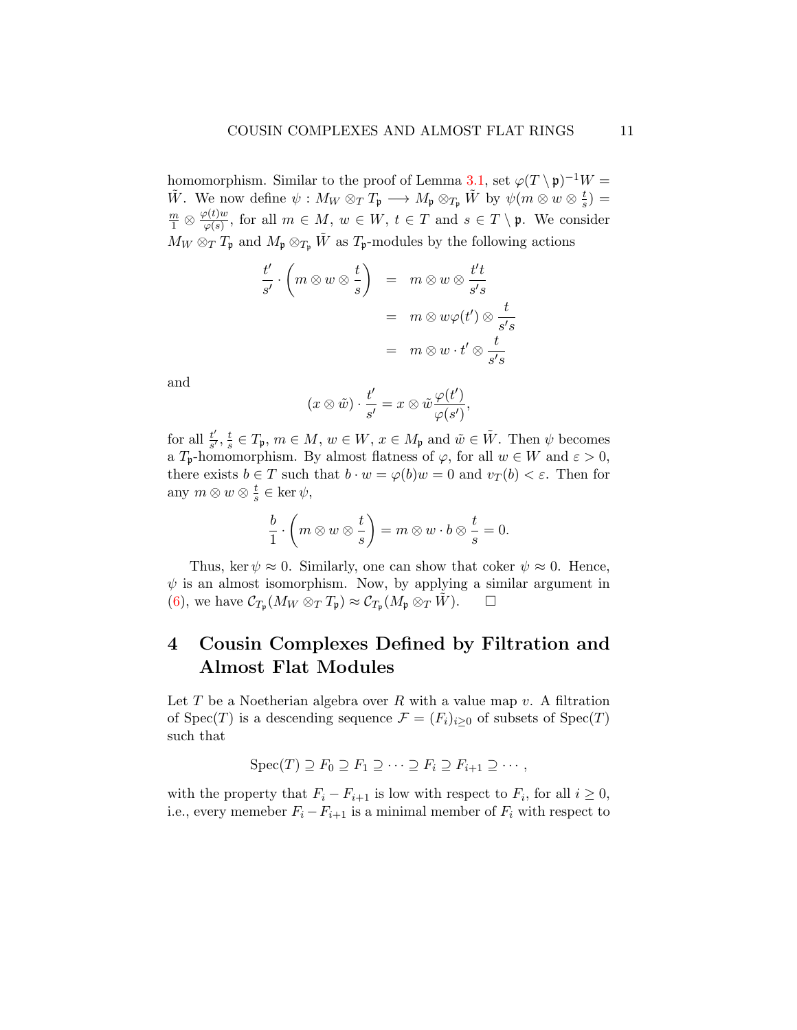homomorphism. Similar to the proof of Lemma [3.1,](#page-7-0) set  $\varphi(T \setminus \mathfrak{p})^{-1}W =$ W . We now define  $\psi: M_W \otimes_T T_{\mathfrak{p}} \longrightarrow M_{\mathfrak{p}} \otimes_{T_{\mathfrak{p}}} \tilde{W}$  by  $\psi(m \otimes w \otimes \frac{t}{s})$  $\frac{t}{s}) =$  $\frac{m}{1} \otimes \frac{\varphi(t)w}{\varphi(s)}$  $\frac{\varphi(t)w}{\varphi(s)}$ , for all  $m \in M$ ,  $w \in W$ ,  $t \in T$  and  $s \in T \setminus \mathfrak{p}$ . We consider  $M_W \otimes_T T_{\mathfrak{p}}$  and  $M_{\mathfrak{p}} \otimes_{T_{\mathfrak{p}}} \tilde{W}$  as  $T_{\mathfrak{p}}$ -modules by the following actions

$$
\frac{t'}{s'} \cdot \left(m \otimes w \otimes \frac{t}{s}\right) = m \otimes w \otimes \frac{t't}{s's} \n= m \otimes w\varphi(t') \otimes \frac{t}{s's} \n= m \otimes w \cdot t' \otimes \frac{t}{s's}
$$

and

$$
(x \otimes \tilde{w}) \cdot \frac{t'}{s'} = x \otimes \tilde{w} \frac{\varphi(t')}{\varphi(s')},
$$

for all  $\frac{t'}{s'}$  $\frac{t'}{s'}$ ,  $\frac{t}{s}$  $\frac{t}{s} \in T_{\mathfrak{p}}, m \in M, w \in W, x \in M_{\mathfrak{p}} \text{ and } \tilde{w} \in \tilde{W}$ . Then  $\psi$  becomes a  $T_p$ -homomorphism. By almost flatness of  $\varphi$ , for all  $w \in W$  and  $\varepsilon > 0$ , there exists  $b \in T$  such that  $b \cdot w = \varphi(b)w = 0$  and  $v_T(b) < \varepsilon$ . Then for any  $m \otimes w \otimes \frac{t}{s}$  $\frac{t}{s} \in \ker \psi$ ,

$$
\frac{b}{1} \cdot \left( m \otimes w \otimes \frac{t}{s} \right) = m \otimes w \cdot b \otimes \frac{t}{s} = 0.
$$

Thus, ker  $\psi \approx 0$ . Similarly, one can show that coker  $\psi \approx 0$ . Hence,  $\psi$  is an almost isomorphism. Now, by applying a similar argument in [\(6\)](#page-9-0), we have  $\mathcal{C}_{T_{\mathfrak{p}}}(M_W \otimes_T T_{\mathfrak{p}}) \approx \mathcal{C}_{T_{\mathfrak{p}}}(M_{\mathfrak{p}} \otimes_T \tilde{W})$ .  $\Box$ 

# 4 Cousin Complexes Defined by Filtration and Almost Flat Modules

Let  $T$  be a Noetherian algebra over  $R$  with a value map  $v$ . A filtration of Spec(T) is a descending sequence  $\mathcal{F} = (F_i)_{i \geq 0}$  of subsets of Spec(T) such that

$$
Spec(T) \supseteq F_0 \supseteq F_1 \supseteq \cdots \supseteq F_i \supseteq F_{i+1} \supseteq \cdots ,
$$

with the property that  $F_i - F_{i+1}$  is low with respect to  $F_i$ , for all  $i \geq 0$ , i.e., every memeber  $F_i - F_{i+1}$  is a minimal member of  $F_i$  with respect to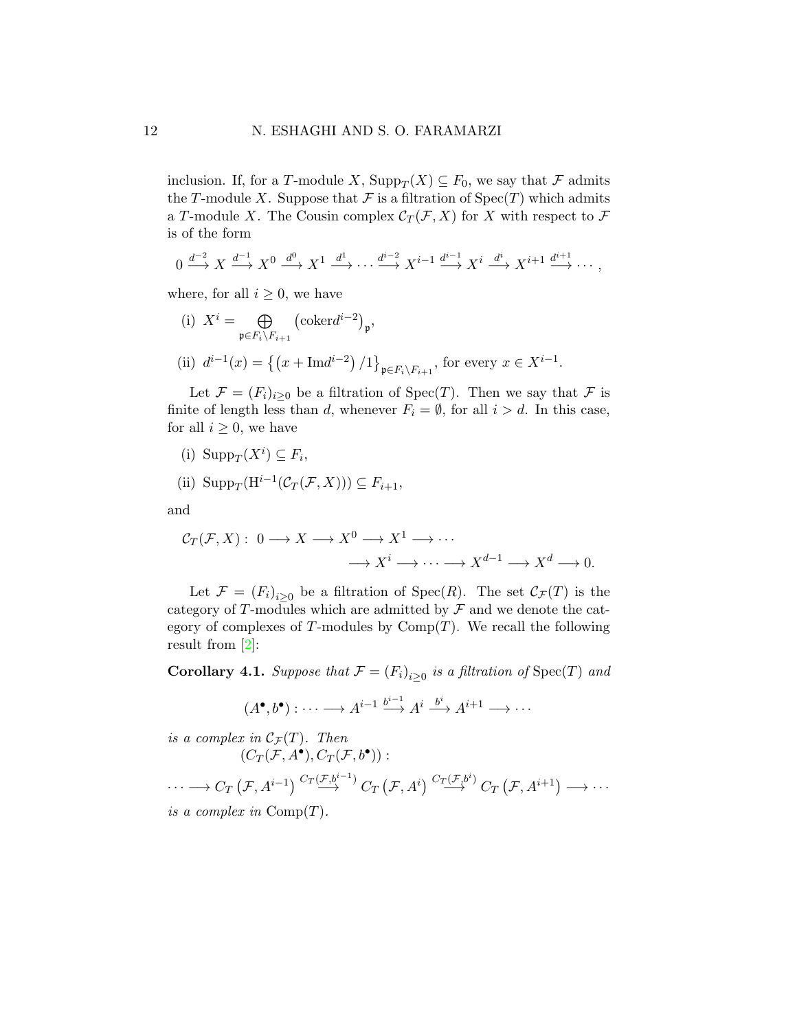inclusion. If, for a T-module X,  $\text{Supp}_T(X) \subseteq F_0$ , we say that F admits the T-module X. Suppose that  $\mathcal F$  is a filtration of  $Spec(T)$  which admits a T-module X. The Cousin complex  $\mathcal{C}_{T}(\mathcal{F},X)$  for X with respect to  $\mathcal F$ is of the form

$$
0 \xrightarrow{d^{-2}} X \xrightarrow{d^{-1}} X^0 \xrightarrow{d^0} X^1 \xrightarrow{d^1} \cdots \xrightarrow{d^{i-2}} X^{i-1} \xrightarrow{d^{i-1}} X^i \xrightarrow{d^i} X^{i+1} \xrightarrow{d^{i+1}} \cdots,
$$

where, for all  $i \geq 0$ , we have

(i)  $X^i = \bigoplus$  $\mathfrak{p} {\in} F_i \backslash F_{i+1}$  $\left(\text{coker} d^{i-2}\right)_{\mathfrak{p}},$ (ii)  $d^{i-1}(x) = \{(x + \text{Im}d^{i-2})/1\}_{p \in F_i \setminus F_{i+1}},$  for every  $x \in X^{i-1}$ .

Let  $\mathcal{F} = (F_i)_{i>0}$  be a filtration of Spec(T). Then we say that  $\mathcal F$  is finite of length less than d, whenever  $F_i = \emptyset$ , for all  $i > d$ . In this case, for all  $i \geq 0$ , we have

(i) 
$$
\text{Supp}_T(X^i) \subseteq F_i
$$
,

(ii) 
$$
\text{Supp}_T(\text{H}^{i-1}(\mathcal{C}_T(\mathcal{F},X))) \subseteq F_{i+1},
$$

and

$$
\mathcal{C}_T(\mathcal{F}, X) : 0 \longrightarrow X \longrightarrow X^0 \longrightarrow X^1 \longrightarrow \cdots
$$

$$
\longrightarrow X^i \longrightarrow \cdots \longrightarrow X^{d-1} \longrightarrow X^d \longrightarrow 0.
$$

Let  $\mathcal{F} = (F_i)_{i \geq 0}$  be a filtration of Spec $(R)$ . The set  $\mathcal{C}_{\mathcal{F}}(T)$  is the category of T-modules which are admitted by  $\mathcal F$  and we denote the category of complexes of T-modules by  $\mathrm{Comp}(T)$ . We recall the following result from [\[2\]](#page-14-2):

**Corollary 4.1.** Suppose that  $\mathcal{F} = (F_i)_{i \geq 0}$  is a filtration of  $\text{Spec}(T)$  and

$$
(A^{\bullet},b^{\bullet}): \cdots \longrightarrow A^{i-1} \xrightarrow{b^{i-1}} A^i \xrightarrow{b^i} A^{i+1} \longrightarrow \cdots
$$

is a complex in  $\mathcal{C}_{\mathcal{F}}(T)$ . Then  $(C_T(\mathcal{F}, A^{\bullet}), C_T(\mathcal{F}, b^{\bullet}))$ :

 $\cdots \longrightarrow C_T\left(\mathcal{F},A^{i-1}\right) \stackrel{C_T\left(\mathcal{F},b^{i-1}\right)}{\longrightarrow} C_T\left(\mathcal{F},A^{i}\right) \stackrel{C_T\left(\mathcal{F},b^{i}\right)}{\longrightarrow} C_T\left(\mathcal{F},A^{i+1}\right) \longrightarrow \cdots$ is a complex in  $\mathrm{Comp}(T)$ .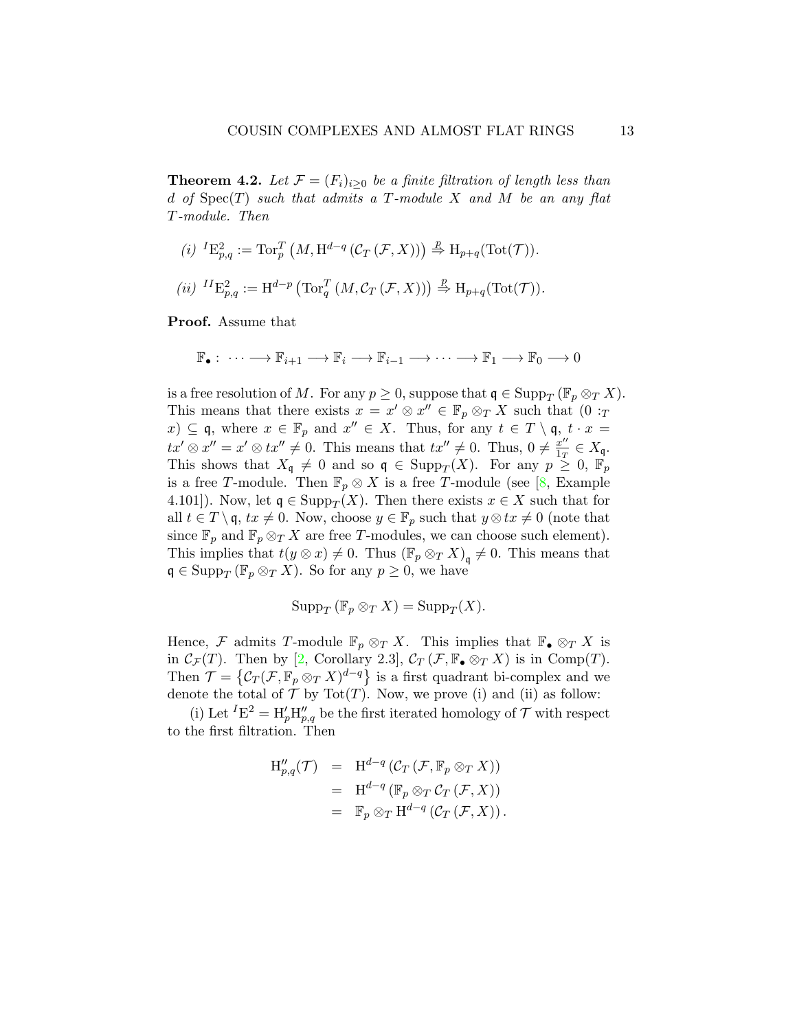**Theorem 4.2.** Let  $\mathcal{F} = (F_i)_{i>0}$  be a finite filtration of length less than d of  $Spec(T)$  such that admits a T-module X and M be an any flat T-module. Then

(i) 
$$
{}^{I}E_{p,q}^{2} := \operatorname{Tor}_{p}^{T} (M, \operatorname{H}^{d-q} (\mathcal{C}_{T} (\mathcal{F}, X))) \stackrel{p}{\Rightarrow} \operatorname{H}_{p+q}(\operatorname{Tot}(\mathcal{T})).
$$
  
(ii) 
$$
{}^{II}E_{p,q}^{2} := \operatorname{H}^{d-p} (\operatorname{Tor}_{q}^{T} (M, \mathcal{C}_{T} (\mathcal{F}, X))) \stackrel{p}{\Rightarrow} \operatorname{H}_{p+q}(\operatorname{Tot}(\mathcal{T})).
$$

Proof. Assume that

$$
\mathbb{F}_{\bullet}: \cdots \longrightarrow \mathbb{F}_{i+1} \longrightarrow \mathbb{F}_{i} \longrightarrow \mathbb{F}_{i-1} \longrightarrow \cdots \longrightarrow \mathbb{F}_{1} \longrightarrow \mathbb{F}_{0} \longrightarrow 0
$$

is a free resolution of M. For any  $p \ge 0$ , suppose that  $\mathfrak{q} \in \text{Supp}_T (\mathbb{F}_p \otimes_T X)$ . This means that there exists  $x = x' \otimes x'' \in \mathbb{F}_p \otimes_T X$  such that  $(0 :_T)$  $(x) \subseteq \mathfrak{q}$ , where  $x \in \mathbb{F}_p$  and  $x'' \in X$ . Thus, for any  $t \in T \setminus \mathfrak{q}$ ,  $t \cdot x =$  $tx' \otimes x'' = x' \otimes tx'' \neq 0$ . This means that  $tx'' \neq 0$ . Thus,  $0 \neq \frac{x''}{100}$  $\frac{x^{\prime\prime}}{1_T}\in X_{\mathfrak{q}}.$ This shows that  $X_{\mathfrak{q}} \neq 0$  and so  $\mathfrak{q} \in \text{Supp}_T(X)$ . For any  $p \geq 0$ ,  $\mathbb{F}_p$ is a free T-module. Then  $\mathbb{F}_p \otimes X$  is a free T-module (see [\[8,](#page-15-5) Example 4.101]). Now, let  $\mathfrak{q} \in \text{Supp}_T(X)$ . Then there exists  $x \in X$  such that for all  $t \in T \setminus \mathfrak{q}$ ,  $tx \neq 0$ . Now, choose  $y \in \mathbb{F}_p$  such that  $y \otimes tx \neq 0$  (note that since  $\mathbb{F}_p$  and  $\mathbb{F}_p \otimes_T X$  are free T-modules, we can choose such element). This implies that  $t(y \otimes x) \neq 0$ . Thus  $(\mathbb{F}_p \otimes_T X)_{\mathfrak{q}} \neq 0$ . This means that  $\mathfrak{q} \in \text{Supp}_T \left( \mathbb{F}_p \otimes_T X \right)$ . So for any  $p \geq 0$ , we have

$$
\operatorname{Supp}_T(\mathbb{F}_p \otimes_T X) = \operatorname{Supp}_T(X).
$$

Hence, F admits T-module  $\mathbb{F}_p \otimes_T X$ . This implies that  $\mathbb{F}_\bullet \otimes_T X$  is in  $\mathcal{C}_{\mathcal{F}}(T)$ . Then by [\[2,](#page-14-2) Corollary 2.3],  $\mathcal{C}_{T}(\mathcal{F}, \mathbb{F}_{\bullet} \otimes_{T} X)$  is in Comp(T). Then  $\mathcal{T} = \{ \mathcal{C}_T(\mathcal{F}, \mathbb{F}_p \otimes_T X)^{d-q} \}$  is a first quadrant bi-complex and we denote the total of  $\mathcal T$  by Tot $(T)$ . Now, we prove (i) and (ii) as follow:

(i) Let  ${}^{I}E^{2} = H'_{p}H''_{p,q}$  be the first iterated homology of  $\mathcal{T}$  with respect to the first filtration. Then

$$
H''_{p,q}(\mathcal{T}) = H^{d-q}(\mathcal{C}_T(\mathcal{F}, \mathbb{F}_p \otimes_T X))
$$
  
=  $H^{d-q}(\mathbb{F}_p \otimes_T \mathcal{C}_T(\mathcal{F}, X))$   
=  $\mathbb{F}_p \otimes_T H^{d-q}(\mathcal{C}_T(\mathcal{F}, X)).$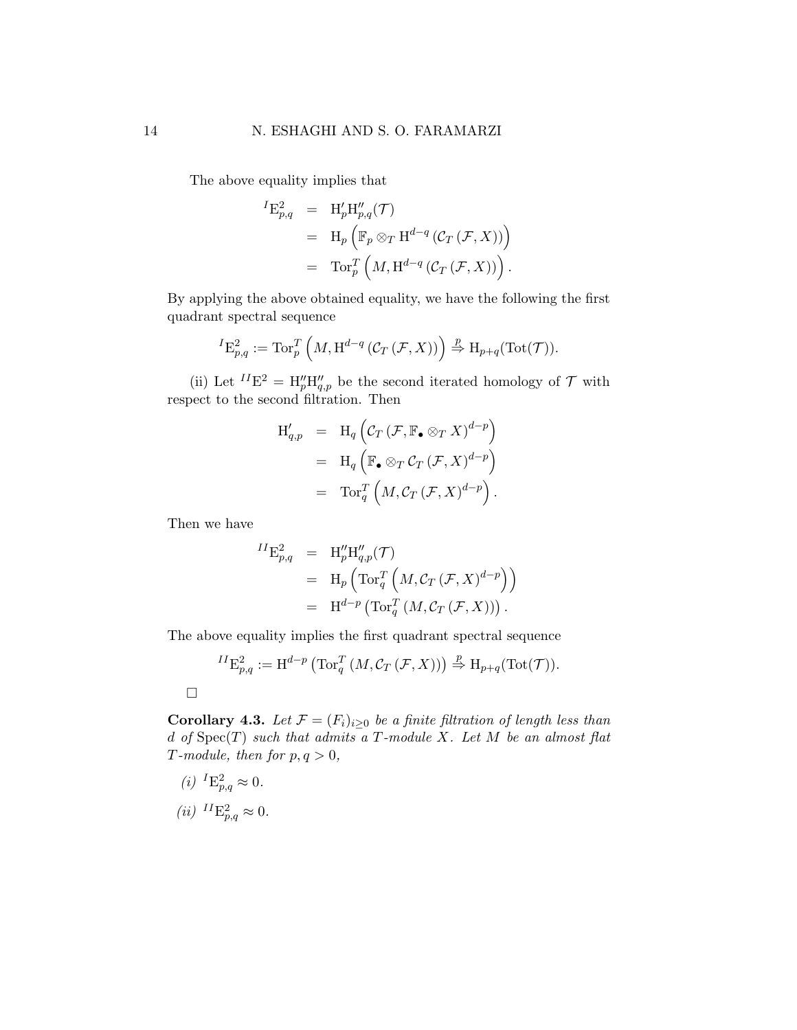The above equality implies that

$$
\begin{array}{rcl} {}^I\mathrm{E}^2_{p,q} & = & \mathrm{H}'_p\mathrm{H}''_{p,q}(\mathcal{T}) \\ & = & \mathrm{H}_p\left(\mathbb{F}_p\otimes_T\mathrm{H}^{d-q}\left(\mathcal{C}_T\left(\mathcal{F},X\right)\right)\right) \\ & = & \mathrm{Tor}_p^T\left(M,\mathrm{H}^{d-q}\left(\mathcal{C}_T\left(\mathcal{F},X\right)\right)\right). \end{array}
$$

By applying the above obtained equality, we have the following the first quadrant spectral sequence

$$
{}^{I}E_{p,q}^{2} := \operatorname{Tor}_{p}^{T}\left(M, \operatorname{H}^{d-q}\left(\mathcal{C}_{T}\left(\mathcal{F}, X\right)\right)\right) \stackrel{p}{\Rightarrow} \operatorname{H}_{p+q}(\operatorname{Tot}(\mathcal{T})).
$$

(ii) Let  $^{II}E^2 = H_p''H_{q,p}''$  be the second iterated homology of  $\mathcal T$  with respect to the second filtration. Then

$$
H_{q,p}' = H_q \left( \mathcal{C}_T (\mathcal{F}, \mathbb{F}_{\bullet} \otimes_T X)^{d-p} \right)
$$
  
=  $H_q \left( \mathbb{F}_{\bullet} \otimes_T \mathcal{C}_T (\mathcal{F}, X)^{d-p} \right)$   
=  $\operatorname{Tor}_q^T \left( M, \mathcal{C}_T (\mathcal{F}, X)^{d-p} \right).$ 

Then we have

 $I$ 

$$
\begin{array}{rcl} {^I\mathrm{E}}_{p,q}^2 & = & \mathrm{H}''_p\mathrm{H}''_{q,p}(\mathcal{T}) \\ & = & \mathrm{H}_p\left(\operatorname{Tor}_q^T\left(M,\mathcal{C}_T\left(\mathcal{F},X\right)^{d-p}\right)\right) \\ & = & \mathrm{H}^{d-p}\left(\operatorname{Tor}_q^T\left(M,\mathcal{C}_T\left(\mathcal{F},X\right)\right)\right). \end{array}
$$

The above equality implies the first quadrant spectral sequence

$$
{}^{II}E^2_{p,q} := \mathrm{H}^{d-p} \left( \mathrm{Tor}_q^T \left( M, \mathcal{C}_T \left( \mathcal{F}, X \right) \right) \right) \stackrel{p}{\Rightarrow} \mathrm{H}_{p+q}(\mathrm{Tot}(\mathcal{T})).
$$

Corollary 4.3. Let  $\mathcal{F} = (F_i)_{i \geq 0}$  be a finite filtration of length less than d of  $Spec(T)$  such that admits a T-module X. Let M be an almost flat T-module, then for  $p, q > 0$ ,

(*i*)  ${}^{I}E^{2}_{p,q} \approx 0.$ 

 $\hfill \square$ 

$$
(ii) \, {}^{II}\mathcal{E}^2_{p,q} \approx 0.
$$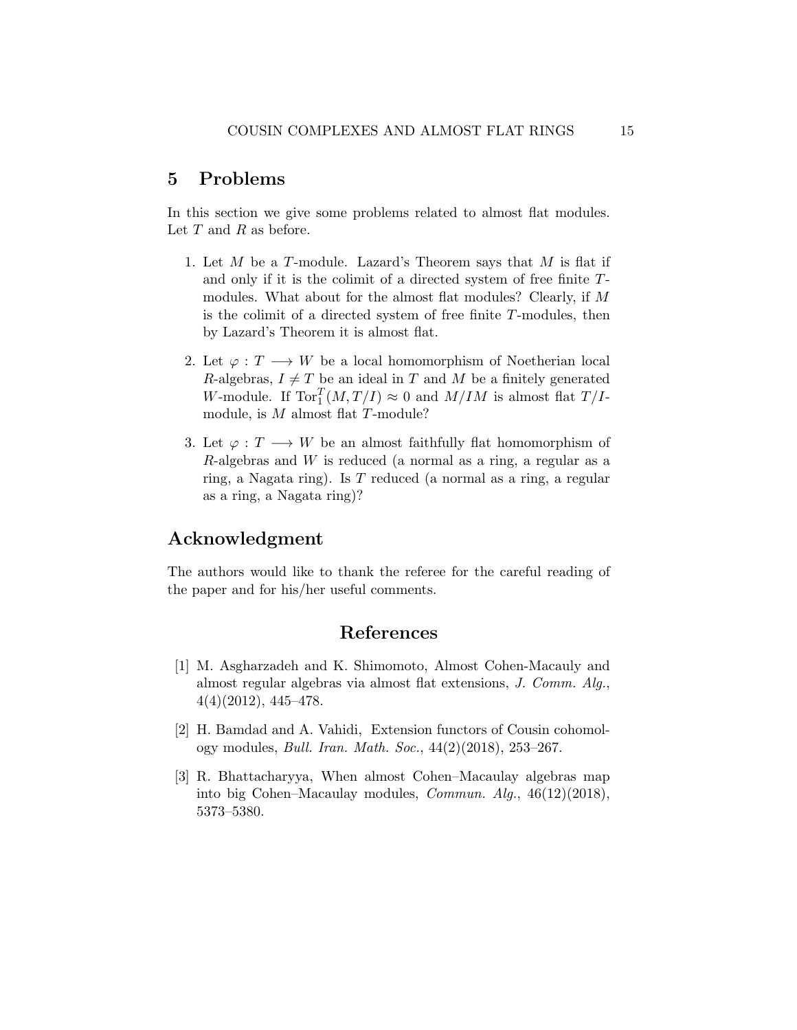## 5 Problems

In this section we give some problems related to almost flat modules. Let  $T$  and  $R$  as before.

- 1. Let M be a T-module. Lazard's Theorem says that M is flat if and only if it is the colimit of a directed system of free finite Tmodules. What about for the almost flat modules? Clearly, if M is the colimit of a directed system of free finite  $T$ -modules, then by Lazard's Theorem it is almost flat.
- 2. Let  $\varphi: T \longrightarrow W$  be a local homomorphism of Noetherian local R-algebras,  $I \neq T$  be an ideal in T and M be a finitely generated W-module. If  $\text{Tor}_{1}^{T}(M, T/I) \approx 0$  and  $M/IM$  is almost flat  $T/I$ module, is  $M$  almost flat  $T$ -module?
- 3. Let  $\varphi: T \longrightarrow W$  be an almost faithfully flat homomorphism of R-algebras and  $W$  is reduced (a normal as a ring, a regular as a ring, a Nagata ring). Is T reduced (a normal as a ring, a regular as a ring, a Nagata ring)?

## Acknowledgment

The authors would like to thank the referee for the careful reading of the paper and for his/her useful comments.

## References

- <span id="page-14-0"></span>[1] M. Asgharzadeh and K. Shimomoto, Almost Cohen-Macauly and almost regular algebras via almost flat extensions, J. Comm. Alg., 4(4)(2012), 445–478.
- <span id="page-14-2"></span>[2] H. Bamdad and A. Vahidi, Extension functors of Cousin cohomology modules, Bull. Iran. Math. Soc., 44(2)(2018), 253–267.
- <span id="page-14-1"></span>[3] R. Bhattacharyya, When almost Cohen–Macaulay algebras map into big Cohen–Macaulay modules, Commun. Alg., 46(12)(2018), 5373–5380.